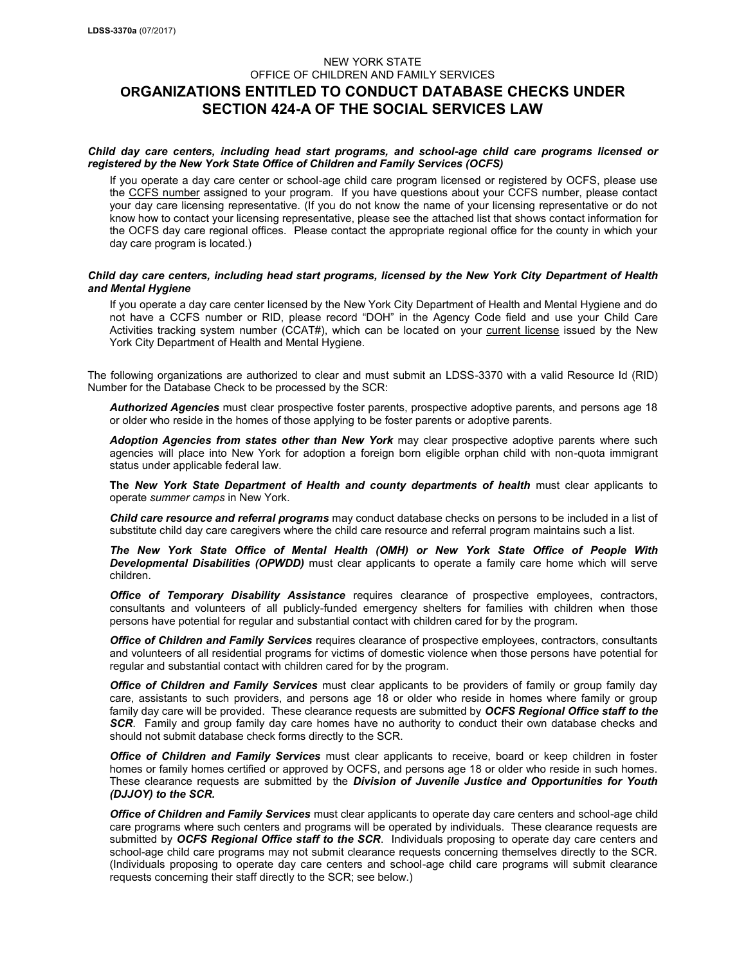# NEW YORK STATE OFFICE OF CHILDREN AND FAMILY SERVICES **ORGANIZATIONS ENTITLED TO CONDUCT DATABASE CHECKS UNDER SECTION 424-A OF THE SOCIAL SERVICES LAW**

## *Child day care centers, including head start programs, and school-age child care programs licensed or registered by the New York State Office of Children and Family Services (OCFS)*

If you operate a day care center or school-age child care program licensed or registered by OCFS, please use the CCFS number assigned to your program. If you have questions about your CCFS number, please contact your day care licensing representative. (If you do not know the name of your licensing representative or do not know how to contact your licensing representative, please see the attached list that shows contact information for the OCFS day care regional offices. Please contact the appropriate regional office for the county in which your day care program is located.)

## *Child day care centers, including head start programs, licensed by the New York City Department of Health and Mental Hygiene*

If you operate a day care center licensed by the New York City Department of Health and Mental Hygiene and do not have a CCFS number or RID, please record "DOH" in the Agency Code field and use your Child Care Activities tracking system number (CCAT#), which can be located on your current license issued by the New York City Department of Health and Mental Hygiene.

The following organizations are authorized to clear and must submit an LDSS-3370 with a valid Resource Id (RID) Number for the Database Check to be processed by the SCR:

*Authorized Agencies* must clear prospective foster parents, prospective adoptive parents, and persons age 18 or older who reside in the homes of those applying to be foster parents or adoptive parents.

Adoption Agencies from states other than New York may clear prospective adoptive parents where such agencies will place into New York for adoption a foreign born eligible orphan child with non-quota immigrant status under applicable federal law.

**The** *New York State Department of Health and county departments of health* must clear applicants to operate *summer camps* in New York.

*Child care resource and referral programs* may conduct database checks on persons to be included in a list of substitute child day care caregivers where the child care resource and referral program maintains such a list.

*The New York State Office of Mental Health (OMH) or New York State Office of People With Developmental Disabilities (OPWDD)* must clear applicants to operate a family care home which will serve children.

*Office of Temporary Disability Assistance* requires clearance of prospective employees, contractors, consultants and volunteers of all publicly-funded emergency shelters for families with children when those persons have potential for regular and substantial contact with children cared for by the program.

*Office of Children and Family Services* requires clearance of prospective employees, contractors, consultants and volunteers of all residential programs for victims of domestic violence when those persons have potential for regular and substantial contact with children cared for by the program.

*Office of Children and Family Services* must clear applicants to be providers of family or group family day care, assistants to such providers, and persons age 18 or older who reside in homes where family or group family day care will be provided. These clearance requests are submitted by *OCFS Regional Office staff to the*  **SCR.** Family and group family day care homes have no authority to conduct their own database checks and should not submit database check forms directly to the SCR.

*Office of Children and Family Services* must clear applicants to receive, board or keep children in foster homes or family homes certified or approved by OCFS, and persons age 18 or older who reside in such homes. These clearance requests are submitted by the *Division of Juvenile Justice and Opportunities for Youth (DJJOY) to the SCR.*

*Office of Children and Family Services* must clear applicants to operate day care centers and school-age child care programs where such centers and programs will be operated by individuals. These clearance requests are submitted by *OCFS Regional Office staff to the SCR*. Individuals proposing to operate day care centers and school-age child care programs may not submit clearance requests concerning themselves directly to the SCR. (Individuals proposing to operate day care centers and school-age child care programs will submit clearance requests concerning their staff directly to the SCR; see below.)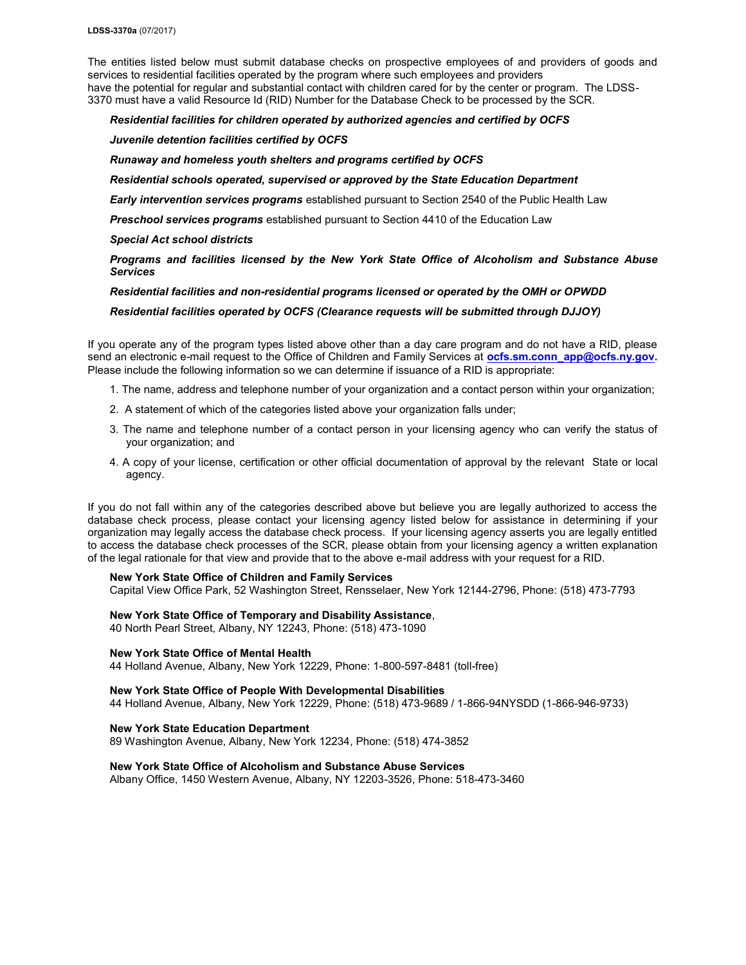The entities listed below must submit database checks on prospective employees of and providers of goods and services to residential facilities operated by the program where such employees and providers have the potential for regular and substantial contact with children cared for by the center or program. The LDSS-3370 must have a valid Resource Id (RID) Number for the Database Check to be processed by the SCR.

## *Residential facilities for children operated by authorized agencies and certified by OCFS*

# *Juvenile detention facilities certified by OCFS*

## *Runaway and homeless youth shelters and programs certified by OCFS*

### *Residential schools operated, supervised or approved by the State Education Department*

*Early intervention services programs* established pursuant to Section 2540 of the Public Health Law

*Preschool services programs* established pursuant to Section 4410 of the Education Law

#### *Special Act school districts*

*Programs and facilities licensed by the New York State Office of Alcoholism and Substance Abuse Services*

#### *Residential facilities and non-residential programs licensed or operated by the OMH or OPWDD*

#### *Residential facilities operated by OCFS (Clearance requests will be submitted through DJJOY)*

If you operate any of the program types listed above other than a day care program and do not have a RID, please send an electronic e-mail request to the Office of Children and Family Services at **[ocfs.sm.conn\\_app@ocfs.ny.gov.](mailto:ocfs.sm.conn_app@ocfs.ny.gov)** Please include the following information so we can determine if issuance of a RID is appropriate:

- 1. The name, address and telephone number of your organization and a contact person within your organization;
- 2. A statement of which of the categories listed above your organization falls under;
- 3. The name and telephone number of a contact person in your licensing agency who can verify the status of your organization; and
- 4. A copy of your license, certification or other official documentation of approval by the relevant State or local agency.

If you do not fall within any of the categories described above but believe you are legally authorized to access the database check process, please contact your licensing agency listed below for assistance in determining if your organization may legally access the database check process. If your licensing agency asserts you are legally entitled to access the database check processes of the SCR, please obtain from your licensing agency a written explanation of the legal rationale for that view and provide that to the above e-mail address with your request for a RID.

## **New York State Office of Children and Family Services**

Capital View Office Park, 52 Washington Street, Rensselaer, New York 12144-2796, Phone: (518) 473-7793

#### **New York State Office of Temporary and Disability Assistance**,

40 North Pearl Street, Albany, NY 12243, Phone: (518) 473-1090

#### **New York State Office of Mental Health**

44 Holland Avenue, Albany, New York 12229, Phone: 1-800-597-8481 (toll-free)

## **New York State Office of People With Developmental Disabilities** 44 Holland Avenue, Albany, New York 12229, Phone: (518) 473-9689 / 1-866-94NYSDD (1-866-946-9733)

**New York State Education Department** 89 Washington Avenue, Albany, New York 12234, Phone: (518) 474-3852

## **New York State Office of Alcoholism and Substance Abuse Services**

Albany Office, 1450 Western Avenue, Albany, NY 12203-3526, Phone: 518-473-3460